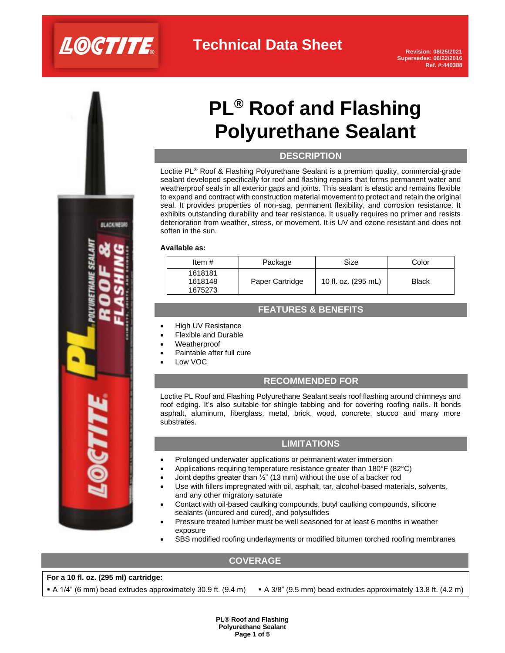# LOCTITE

# **Technical Data Sheet**

**Revision: 08/25/2021 Supersedes: 06/22/2016 Ref. #:440388**

# **PL® Roof and Flashing Polyurethane Sealant**

## **DESCRIPTION**

Loctite PL® Roof & Flashing Polyurethane Sealant is a premium quality, commercial-grade sealant developed specifically for roof and flashing repairs that forms permanent water and weatherproof seals in all exterior gaps and joints. This sealant is elastic and remains flexible to expand and contract with construction material movement to protect and retain the original seal. It provides properties of non-sag, permanent flexibility, and corrosion resistance. It exhibits outstanding durability and tear resistance. It usually requires no primer and resists deterioration from weather, stress, or movement. It is UV and ozone resistant and does not soften in the sun.

#### **Available as:**

| Item $#$                      | Package         | Size                | Color        |
|-------------------------------|-----------------|---------------------|--------------|
| 1618181<br>1618148<br>1675273 | Paper Cartridge | 10 fl. oz. (295 mL) | <b>Black</b> |

## **FEATURES & BENEFITS**

- High UV Resistance
- Flexible and Durable
- Weatherproof
- Paintable after full cure
- Low VOC

# **RECOMMENDED FOR**

Loctite PL Roof and Flashing Polyurethane Sealant seals roof flashing around chimneys and roof edging. It's also suitable for shingle tabbing and for covering roofing nails. It bonds asphalt, aluminum, fiberglass, metal, brick, wood, concrete, stucco and many more substrates.

### **LIMITATIONS**

- Prolonged underwater applications or permanent water immersion
- Applications requiring temperature resistance greater than 180°F (82°C)
- Joint depths greater than  $\frac{1}{2}$ " (13 mm) without the use of a backer rod
- Use with fillers impregnated with oil, asphalt, tar, alcohol-based materials, solvents, and any other migratory saturate
- Contact with oil-based caulking compounds, butyl caulking compounds, silicone sealants (uncured and cured), and polysulfides
- Pressure treated lumber must be well seasoned for at least 6 months in weather exposure
- SBS modified roofing underlayments or modified bitumen torched roofing membranes

## **COVERAGE**

### **For a 10 fl. oz. (295 ml) cartridge:**

 $\blacktriangleright$  A 1/4" (6 mm) bead extrudes approximately 30.9 ft. (9.4 m)  $\blacktriangleright$  A 3/8" (9.5 mm) bead extrudes approximately 13.8 ft. (4.2 m)

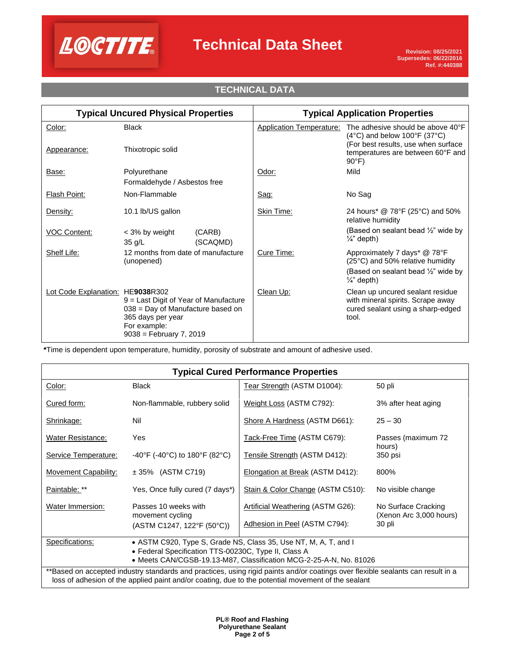

# **TECHNICAL DATA**

| <b>Typical Uncured Physical Properties</b> |                                                                                                                                                | <b>Typical Application Properties</b> |                                 |                                                                                                                                                                           |
|--------------------------------------------|------------------------------------------------------------------------------------------------------------------------------------------------|---------------------------------------|---------------------------------|---------------------------------------------------------------------------------------------------------------------------------------------------------------------------|
| Color:<br>Appearance:                      | <b>Black</b><br>Thixotropic solid                                                                                                              |                                       | <b>Application Temperature:</b> | The adhesive should be above 40°F<br>$(4^{\circ}C)$ and below 100°F (37°C)<br>(For best results, use when surface<br>temperatures are between 60°F and<br>$90^{\circ}$ F) |
| Base:                                      | Polyurethane<br>Formaldehyde / Asbestos free                                                                                                   |                                       | Odor:                           | Mild                                                                                                                                                                      |
| <b>Flash Point:</b>                        | Non-Flammable                                                                                                                                  |                                       | Sag:                            | No Sag                                                                                                                                                                    |
| Density:                                   | 10.1 lb/US gallon                                                                                                                              |                                       | Skin Time:                      | 24 hours* @ 78°F (25°C) and 50%<br>relative humidity                                                                                                                      |
| <b>VOC Content:</b>                        | < 3% by weight<br>(CARB)<br>(SCAQMD)<br>35 g/L                                                                                                 |                                       |                                 | (Based on sealant bead $\frac{1}{2}$ " wide by<br>$\frac{1}{4}$ " depth)                                                                                                  |
| Shelf Life:                                | 12 months from date of manufacture<br>(unopened)                                                                                               |                                       | Cure Time:                      | Approximately 7 days* @ 78°F<br>(25°C) and 50% relative humidity                                                                                                          |
|                                            |                                                                                                                                                |                                       |                                 | (Based on sealant bead $\frac{1}{2}$ " wide by<br>$\frac{1}{4}$ " depth)                                                                                                  |
| Lot Code Explanation: HE9038R302           | 9 = Last Digit of Year of Manufacture<br>$038$ = Day of Manufacture based on<br>365 days per year<br>For example:<br>$9038 =$ February 7, 2019 |                                       | Clean Up:                       | Clean up uncured sealant residue<br>with mineral spirits. Scrape away<br>cured sealant using a sharp-edged<br>tool.                                                       |

**\***Time is dependent upon temperature, humidity, porosity of substrate and amount of adhesive used.

| <b>Typical Cured Performance Properties</b>                                                                                                                                                                                           |                                            |                                   |                                                |  |  |
|---------------------------------------------------------------------------------------------------------------------------------------------------------------------------------------------------------------------------------------|--------------------------------------------|-----------------------------------|------------------------------------------------|--|--|
| Color:                                                                                                                                                                                                                                | <b>Black</b>                               | Tear Strength (ASTM D1004):       | 50 pli                                         |  |  |
| Cured form:                                                                                                                                                                                                                           | Non-flammable, rubbery solid               | Weight Loss (ASTM C792):          | 3% after heat aging                            |  |  |
| Shrinkage:                                                                                                                                                                                                                            | Nil                                        | Shore A Hardness (ASTM D661):     | $25 - 30$                                      |  |  |
| <b>Water Resistance:</b>                                                                                                                                                                                                              | Yes                                        | Tack-Free Time (ASTM C679):       | Passes (maximum 72<br>hours)                   |  |  |
| Service Temperature:                                                                                                                                                                                                                  | -40°F (-40°C) to 180°F (82°C)              | Tensile Strength (ASTM D412):     | 350 psi                                        |  |  |
| <b>Movement Capability:</b>                                                                                                                                                                                                           | $\pm$ 35% (ASTM C719)                      | Elongation at Break (ASTM D412):  | 800%                                           |  |  |
| Paintable: **                                                                                                                                                                                                                         | Yes, Once fully cured (7 days*)            | Stain & Color Change (ASTM C510): | No visible change                              |  |  |
| Water Immersion:                                                                                                                                                                                                                      | Passes 10 weeks with<br>movement cycling   | Artificial Weathering (ASTM G26): | No Surface Cracking<br>(Xenon Arc 3,000 hours) |  |  |
|                                                                                                                                                                                                                                       | $(ASTM C1247, 122^{\circ}F (50^{\circ}C))$ | Adhesion in Peel (ASTM C794):     | 30 pli                                         |  |  |
| Specifications:<br>• ASTM C920, Type S, Grade NS, Class 35, Use NT, M, A, T, and I<br>• Federal Specification TTS-00230C, Type II, Class A                                                                                            |                                            |                                   |                                                |  |  |
| • Meets CAN/CGSB-19.13-M87, Classification MCG-2-25-A-N, No. 81026                                                                                                                                                                    |                                            |                                   |                                                |  |  |
| **Based on accepted industry standards and practices, using rigid paints and/or coatings over flexible sealants can result in a<br>loss of adhesion of the applied paint and/or coating, due to the potential movement of the sealant |                                            |                                   |                                                |  |  |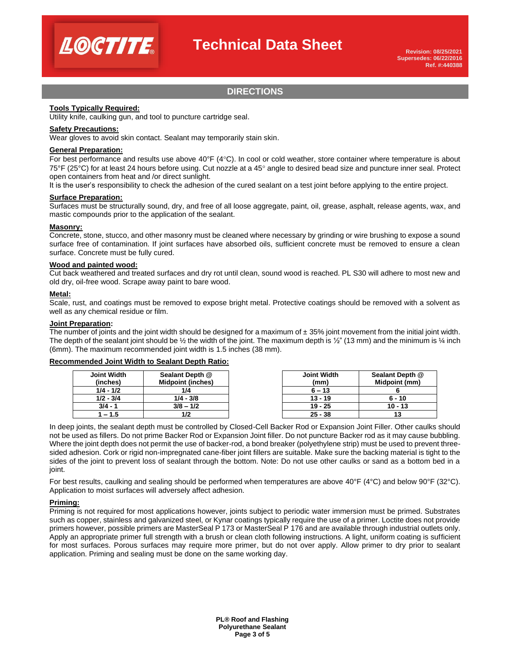

# **DIRECTIONS**

#### **Tools Typically Required:**

Utility knife, caulking gun, and tool to puncture cartridge seal.

#### **Safety Precautions:**

Wear gloves to avoid skin contact. Sealant may temporarily stain skin.

#### **General Preparation:**

For best performance and results use above  $40^{\circ}F(4^{\circ}C)$ . In cool or cold weather, store container where temperature is about 75°F (25°C) for at least 24 hours before using. Cut nozzle at a 45° angle to desired bead size and puncture inner seal. Protect open containers from heat and /or direct sunlight.

It is the user's responsibility to check the adhesion of the cured sealant on a test joint before applying to the entire project.

#### **Surface Preparation:**

Surfaces must be structurally sound, dry, and free of all loose aggregate, paint, oil, grease, asphalt, release agents, wax, and mastic compounds prior to the application of the sealant.

#### **Masonry:**

Concrete, stone, stucco, and other masonry must be cleaned where necessary by grinding or wire brushing to expose a sound surface free of contamination. If joint surfaces have absorbed oils, sufficient concrete must be removed to ensure a clean surface. Concrete must be fully cured.

#### **Wood and painted wood:**

Cut back weathered and treated surfaces and dry rot until clean, sound wood is reached. PL S30 will adhere to most new and old dry, oil-free wood. Scrape away paint to bare wood.

#### **Metal:**

Scale, rust, and coatings must be removed to expose bright metal. Protective coatings should be removed with a solvent as well as any chemical residue or film.

#### **Joint Preparation:**

The number of joints and the joint width should be designed for a maximum of  $\pm$  35% joint movement from the initial joint width. The depth of the sealant joint should be  $\frac{1}{2}$  the width of the joint. The maximum depth is  $\frac{1}{2}$ " (13 mm) and the minimum is  $\frac{1}{4}$  inch (6mm). The maximum recommended joint width is 1.5 inches (38 mm).

#### **Recommended Joint Width to Sealant Depth Ratio:**

| Joint Width<br>(inches) | Sealant Depth @<br><b>Midpoint (inches)</b> | Joint Width<br>(mm) | Sealant Depth @<br>Midpoint (mm) |
|-------------------------|---------------------------------------------|---------------------|----------------------------------|
| $1/4 - 1/2$             | 1/4                                         | $6 - 13$            |                                  |
| $1/2 - 3/4$             | $1/4 - 3/8$                                 | $13 - 19$           | $6 - 10$                         |
| $3/4 - 1$               | $3/8 - 1/2$                                 | $19 - 25$           | $10 - 13$                        |
| 1 – 1.5                 |                                             | $25 - 38$           |                                  |

In deep joints, the sealant depth must be controlled by Closed-Cell Backer Rod or Expansion Joint Filler. Other caulks should not be used as fillers. Do not prime Backer Rod or Expansion Joint filler. Do not puncture Backer rod as it may cause bubbling. Where the joint depth does not permit the use of backer-rod, a bond breaker (polyethylene strip) must be used to prevent threesided adhesion. Cork or rigid non-impregnated cane-fiber joint fillers are suitable. Make sure the backing material is tight to the sides of the joint to prevent loss of sealant through the bottom. Note: Do not use other caulks or sand as a bottom bed in a joint.

For best results, caulking and sealing should be performed when temperatures are above 40°F (4°C) and below 90°F (32°C). Application to moist surfaces will adversely affect adhesion.

#### **Priming:**

Priming is not required for most applications however, joints subject to periodic water immersion must be primed. Substrates such as copper, stainless and galvanized steel, or Kynar coatings typically require the use of a primer. Loctite does not provide primers however, possible primers are MasterSeal P 173 or MasterSeal P 176 and are available through industrial outlets only. Apply an appropriate primer full strength with a brush or clean cloth following instructions. A light, uniform coating is sufficient for most surfaces. Porous surfaces may require more primer, but do not over apply. Allow primer to dry prior to sealant application. Priming and sealing must be done on the same working day.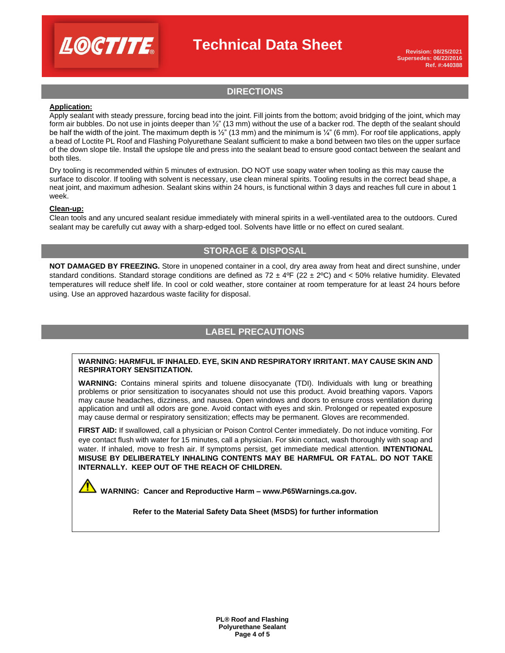

**Revision: 08/25/2021 Supersedes: 06/22/2016 Ref. #:440388**

# **DIRECTIONS**

#### **Application:**

Apply sealant with steady pressure, forcing bead into the joint. Fill joints from the bottom; avoid bridging of the joint, which may form air bubbles. Do not use in joints deeper than  $\frac{1}{2}$ " (13 mm) without the use of a backer rod. The depth of the sealant should be half the width of the joint. The maximum depth is ½" (13 mm) and the minimum is ¼" (6 mm). For roof tile applications, apply a bead of Loctite PL Roof and Flashing Polyurethane Sealant sufficient to make a bond between two tiles on the upper surface of the down slope tile. Install the upslope tile and press into the sealant bead to ensure good contact between the sealant and both tiles.

Dry tooling is recommended within 5 minutes of extrusion. DO NOT use soapy water when tooling as this may cause the surface to discolor. If tooling with solvent is necessary, use clean mineral spirits. Tooling results in the correct bead shape, a neat joint, and maximum adhesion. Sealant skins within 24 hours, is functional within 3 days and reaches full cure in about 1 week.

#### **Clean-up:**

Clean tools and any uncured sealant residue immediately with mineral spirits in a well-ventilated area to the outdoors. Cured sealant may be carefully cut away with a sharp-edged tool. Solvents have little or no effect on cured sealant.

### **STORAGE & DISPOSAL**

**NOT DAMAGED BY FREEZING.** Store in unopened container in a cool, dry area away from heat and direct sunshine, under standard conditions. Standard storage conditions are defined as  $72 \pm 4^{\circ}F (22 \pm 2^{\circ}C)$  and < 50% relative humidity. Elevated temperatures will reduce shelf life. In cool or cold weather, store container at room temperature for at least 24 hours before using. Use an approved hazardous waste facility for disposal.

# **LABEL PRECAUTIONS**

#### **WARNING: HARMFUL IF INHALED. EYE, SKIN AND RESPIRATORY IRRITANT. MAY CAUSE SKIN AND RESPIRATORY SENSITIZATION.**

**WARNING:** Contains mineral spirits and toluene diisocyanate (TDI). Individuals with lung or breathing problems or prior sensitization to isocyanates should not use this product. Avoid breathing vapors. Vapors may cause headaches, dizziness, and nausea. Open windows and doors to ensure cross ventilation during application and until all odors are gone. Avoid contact with eyes and skin. Prolonged or repeated exposure may cause dermal or respiratory sensitization; effects may be permanent. Gloves are recommended.

**FIRST AID:** If swallowed, call a physician or Poison Control Center immediately. Do not induce vomiting. For eye contact flush with water for 15 minutes, call a physician. For skin contact, wash thoroughly with soap and water. If inhaled, move to fresh air. If symptoms persist, get immediate medical attention. **INTENTIONAL MISUSE BY DELIBERATELY INHALING CONTENTS MAY BE HARMFUL OR FATAL. DO NOT TAKE INTERNALLY. KEEP OUT OF THE REACH OF CHILDREN.**

 **WARNING: Cancer and Reproductive Harm – www.P65Warnings.ca.gov.**

**Refer to the Material Safety Data Sheet (MSDS) for further information**